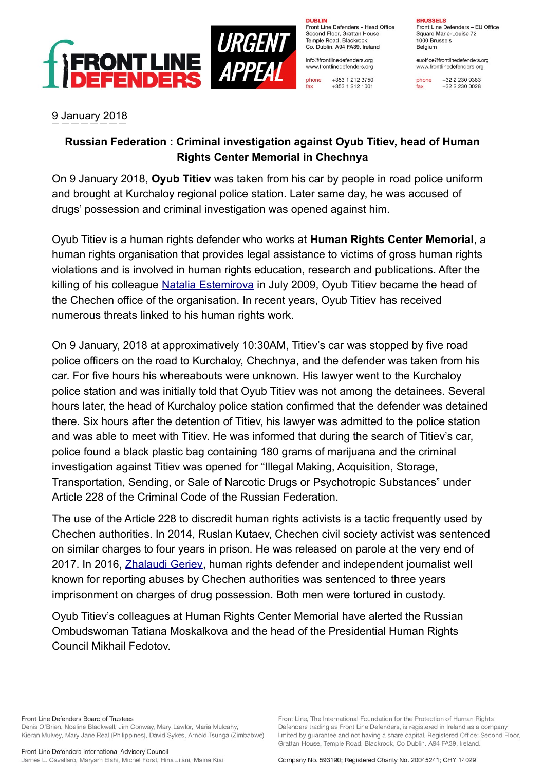

**DUBLIN** Front Line Defenders - Head Office Second Floor, Grattan House Temple Boad, Blackrock

Co. Dublin, A94 FA39, Ireland info@frontlinedefenders.org www.frontlinedefenders.org

phone +353 1 212 3750 fax +353 1 212 1001

**RRUSSELS** Front Line Defenders - EU Office Square Marie-Louise 72 1000 Brussels Belgium

euoffice@frontlinedefenders.org www.frontlinedefenders.org

phone +32 2 230 9383  $fax$  $+3222300028$ 

## 9 January 2018

## **Russian Federation : Criminal investigation against Oyub Titiev, head of Human Rights Center Memorial in Chechnya**

On 9 January 2018, **Oyub Titiev** was taken from his car by people in road police uniform and brought at Kurchaloy regional police station. Later same day, he was accused of drugs' possession and criminal investigation was opened against him.

Oyub Titiev is a human rights defender who works at **Human Rights Center Memorial**, a human rights organisation that provides legal assistance to victims of gross human rights violations and is involved in human rights education, research and publications. After the killing of his colleague [Natalia Estemirova](https://www.frontlinedefenders.org/en/profile/natalia-estemirova) in July 2009, Oyub Titiev became the head of the Chechen office of the organisation. In recent years, Oyub Titiev has received numerous threats linked to his human rights work.

On 9 January, 2018 at approximatively 10:30AM, Titiev's car was stopped by five road police officers on the road to Kurchaloy, Chechnya, and the defender was taken from his car. For five hours his whereabouts were unknown. His lawyer went to the Kurchaloy police station and was initially told that Oyub Titiev was not among the detainees. Several hours later, the head of Kurchaloy police station confirmed that the defender was detained there. Six hours after the detention of Titiev, his lawyer was admitted to the police station and was able to meet with Titiev. He was informed that during the search of Titiev's car, police found a black plastic bag containing 180 grams of marijuana and the criminal investigation against Titiev was opened for "Illegal Making, Acquisition, Storage, Transportation, Sending, or Sale of Narcotic Drugs or Psychotropic Substances" under Article 228 of the Criminal Code of the Russian Federation.

The use of the Article 228 to discredit human rights activists is a tactic frequently used by Chechen authorities. In 2014, Ruslan Kutaev, Chechen civil society activist was sentenced on similar charges to four years in prison. He was released on parole at the very end of 2017. In 2016, [Zhalaudi Geriev,](https://www.frontlinedefenders.org/en/profile/zhalaudi-geriev) human rights defender and independent journalist well known for reporting abuses by Chechen authorities was sentenced to three years imprisonment on charges of drug possession. Both men were tortured in custody.

Oyub Titiev's colleagues at Human Rights Center Memorial have alerted the Russian Ombudswoman Tatiana Moskalkova and the head of the Presidential Human Rights Council Mikhail Fedotov.

Front Line Defenders Board of Trustees Denis O'Brien, Noeline Blackwell, Jim Conway, Mary Lawlor, Maria Mulcahy, Kieran Mulvey, Mary Jane Real (Philippines), David Sykes, Arnold Tsunga (Zimbabwe)

Company No. 593190; Registered Charity No. 20045241; CHY 14029